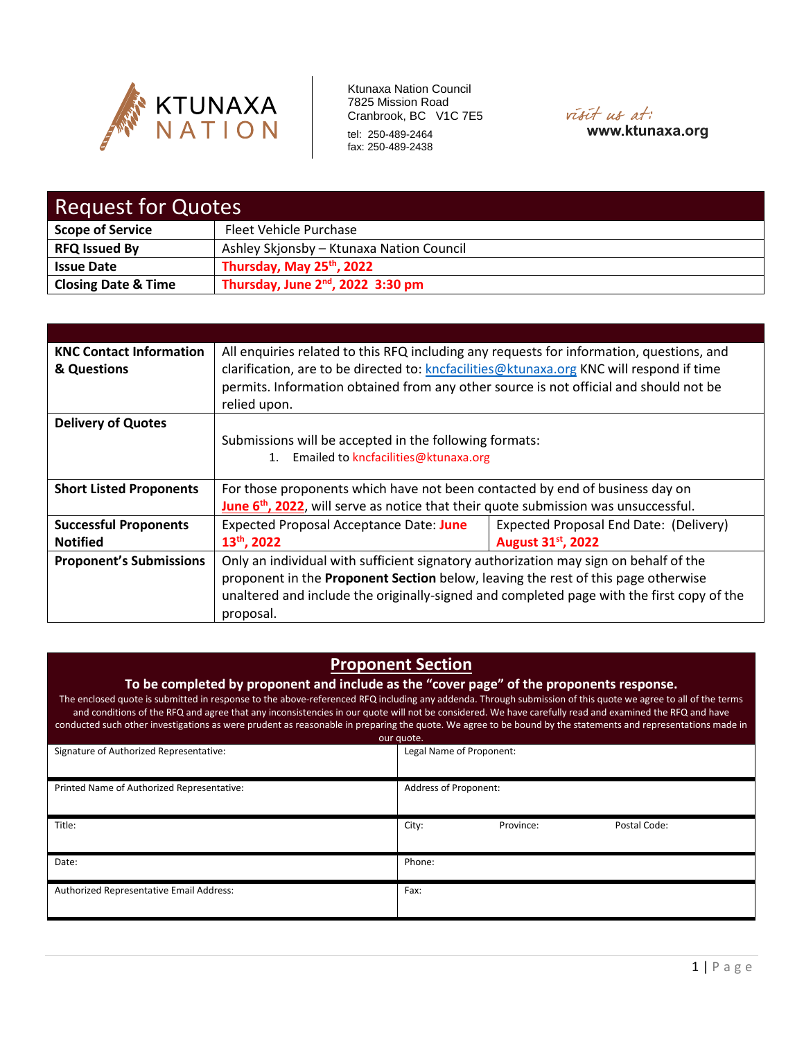



| <b>Request for Quotes</b>      |                                          |  |  |
|--------------------------------|------------------------------------------|--|--|
| <b>Scope of Service</b>        | <b>Fleet Vehicle Purchase</b>            |  |  |
| <b>RFQ Issued By</b>           | Ashley Skjonsby - Ktunaxa Nation Council |  |  |
| <b>Issue Date</b>              | Thursday, May 25th, 2022                 |  |  |
| <b>Closing Date &amp; Time</b> | Thursday, June $2^{nd}$ , 2022 3:30 pm   |  |  |

| <b>KNC Contact Information</b><br>& Questions | All enquiries related to this RFQ including any requests for information, questions, and<br>clarification, are to be directed to: kncfacilities@ktunaxa.org KNC will respond if time<br>permits. Information obtained from any other source is not official and should not be<br>relied upon. |                                        |  |
|-----------------------------------------------|-----------------------------------------------------------------------------------------------------------------------------------------------------------------------------------------------------------------------------------------------------------------------------------------------|----------------------------------------|--|
| <b>Delivery of Quotes</b>                     |                                                                                                                                                                                                                                                                                               |                                        |  |
|                                               | Submissions will be accepted in the following formats:                                                                                                                                                                                                                                        |                                        |  |
|                                               | 1. Emailed to kncfacilities@ktunaxa.org                                                                                                                                                                                                                                                       |                                        |  |
|                                               |                                                                                                                                                                                                                                                                                               |                                        |  |
| <b>Short Listed Proponents</b>                | For those proponents which have not been contacted by end of business day on                                                                                                                                                                                                                  |                                        |  |
|                                               | June 6 <sup>th</sup> , 2022, will serve as notice that their quote submission was unsuccessful.                                                                                                                                                                                               |                                        |  |
| <b>Successful Proponents</b>                  | <b>Expected Proposal Acceptance Date: June</b>                                                                                                                                                                                                                                                | Expected Proposal End Date: (Delivery) |  |
| <b>Notified</b>                               | 13 <sup>th</sup> , 2022                                                                                                                                                                                                                                                                       | August 31st, 2022                      |  |
| <b>Proponent's Submissions</b>                | Only an individual with sufficient signatory authorization may sign on behalf of the                                                                                                                                                                                                          |                                        |  |
|                                               | proponent in the Proponent Section below, leaving the rest of this page otherwise                                                                                                                                                                                                             |                                        |  |
|                                               | unaltered and include the originally-signed and completed page with the first copy of the                                                                                                                                                                                                     |                                        |  |
|                                               | proposal.                                                                                                                                                                                                                                                                                     |                                        |  |

# **Proponent Section**

**To be completed by proponent and include as the "cover page" of the proponents response.**

The enclosed quote is submitted in response to the above-referenced RFQ including any addenda. Through submission of this quote we agree to all of the terms and conditions of the RFQ and agree that any inconsistencies in our quote will not be considered. We have carefully read and examined the RFQ and have conducted such other investigations as were prudent as reasonable in preparing the quote. We agree to be bound by the statements and representations made in

| our quote.                                 |                                    |  |  |  |  |
|--------------------------------------------|------------------------------------|--|--|--|--|
| Signature of Authorized Representative:    | Legal Name of Proponent:           |  |  |  |  |
| Printed Name of Authorized Representative: | Address of Proponent:              |  |  |  |  |
| Title:                                     | City:<br>Province:<br>Postal Code: |  |  |  |  |
| Date:                                      | Phone:                             |  |  |  |  |
| Authorized Representative Email Address:   | Fax:                               |  |  |  |  |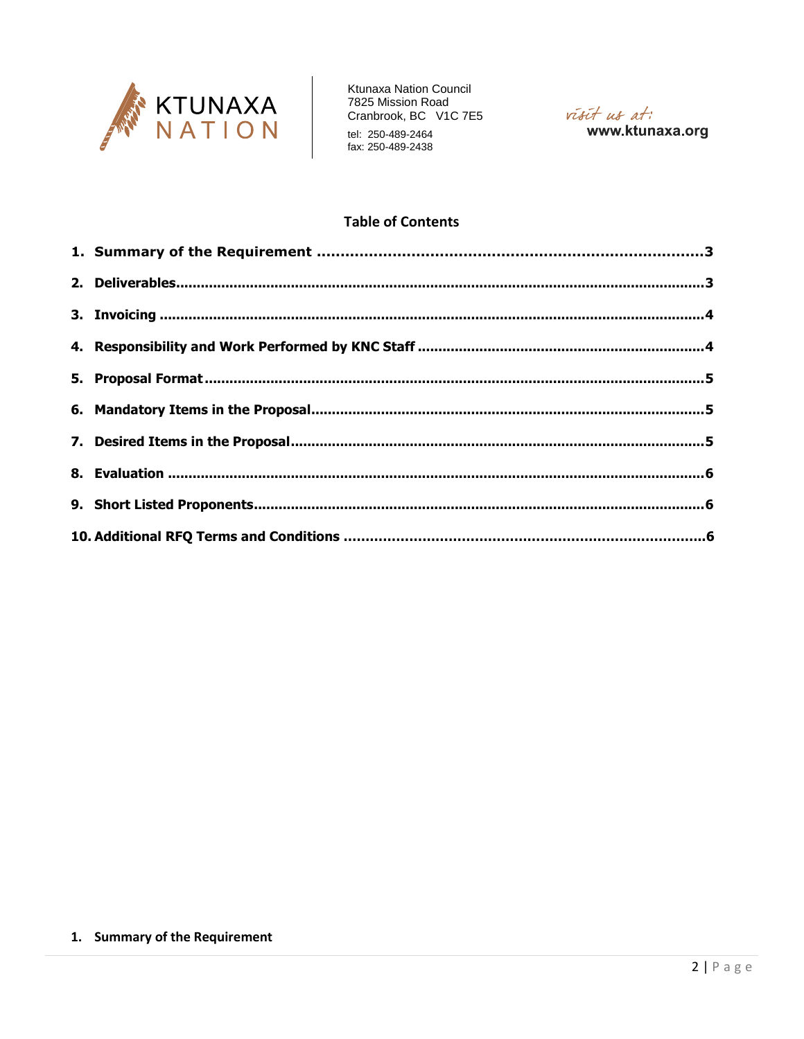

Ktunaxa Nation Council TRANSIC PRODUCT CONTROL<br>T825 Mission Road<br>Cranbrook, BC V1C 7E5



# **Table of Contents**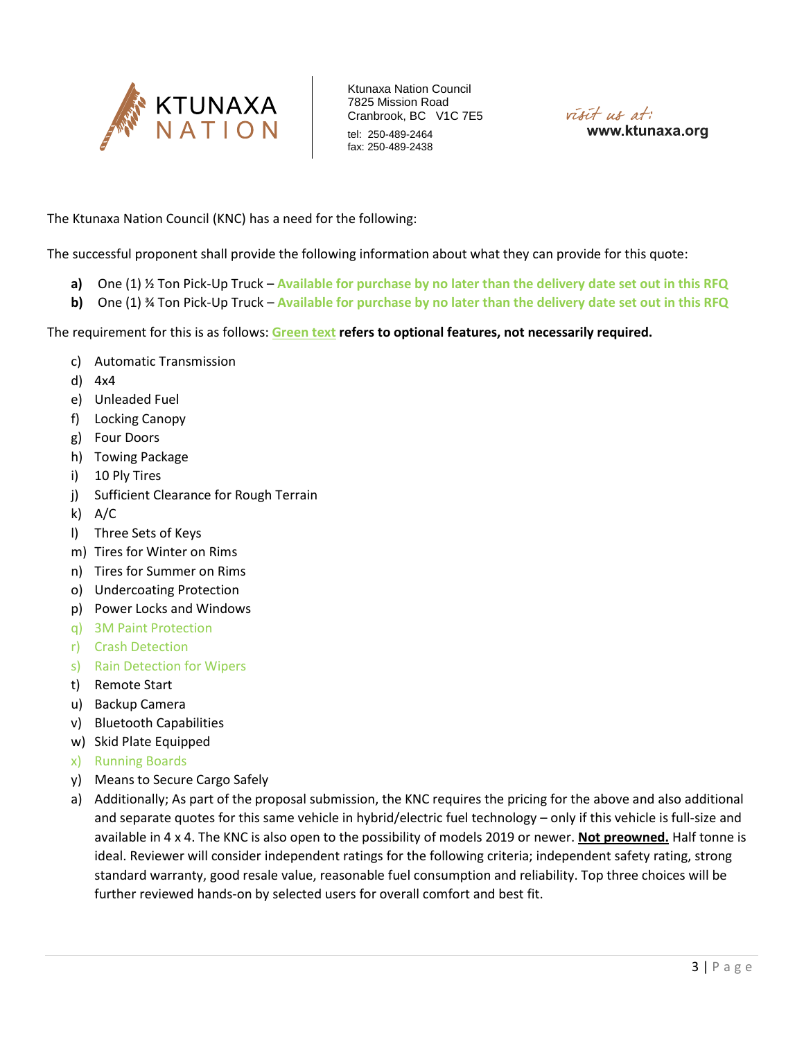



The Ktunaxa Nation Council (KNC) has a need for the following:

The successful proponent shall provide the following information about what they can provide for this quote:

- **a)** One (1) ½ Ton Pick-Up Truck **Available for purchase by no later than the delivery date set out in this RFQ**
- **b)** One (1) ¾ Ton Pick-Up Truck **Available for purchase by no later than the delivery date set out in this RFQ**

The requirement for this is as follows: **Green text refers to optional features, not necessarily required.**

- c) Automatic Transmission
- d) 4x4
- e) Unleaded Fuel
- f) Locking Canopy
- g) Four Doors
- h) Towing Package
- i) 10 Ply Tires
- j) Sufficient Clearance for Rough Terrain
- k) A/C
- l) Three Sets of Keys
- m) Tires for Winter on Rims
- n) Tires for Summer on Rims
- o) Undercoating Protection
- p) Power Locks and Windows
- q) 3M Paint Protection
- r) Crash Detection
- s) Rain Detection for Wipers
- t) Remote Start
- u) Backup Camera
- v) Bluetooth Capabilities
- w) Skid Plate Equipped
- x) Running Boards
- y) Means to Secure Cargo Safely
- a) Additionally; As part of the proposal submission, the KNC requires the pricing for the above and also additional and separate quotes for this same vehicle in hybrid/electric fuel technology – only if this vehicle is full-size and available in 4 x 4. The KNC is also open to the possibility of models 2019 or newer. **Not preowned.** Half tonne is ideal. Reviewer will consider independent ratings for the following criteria; independent safety rating, strong standard warranty, good resale value, reasonable fuel consumption and reliability. Top three choices will be further reviewed hands-on by selected users for overall comfort and best fit.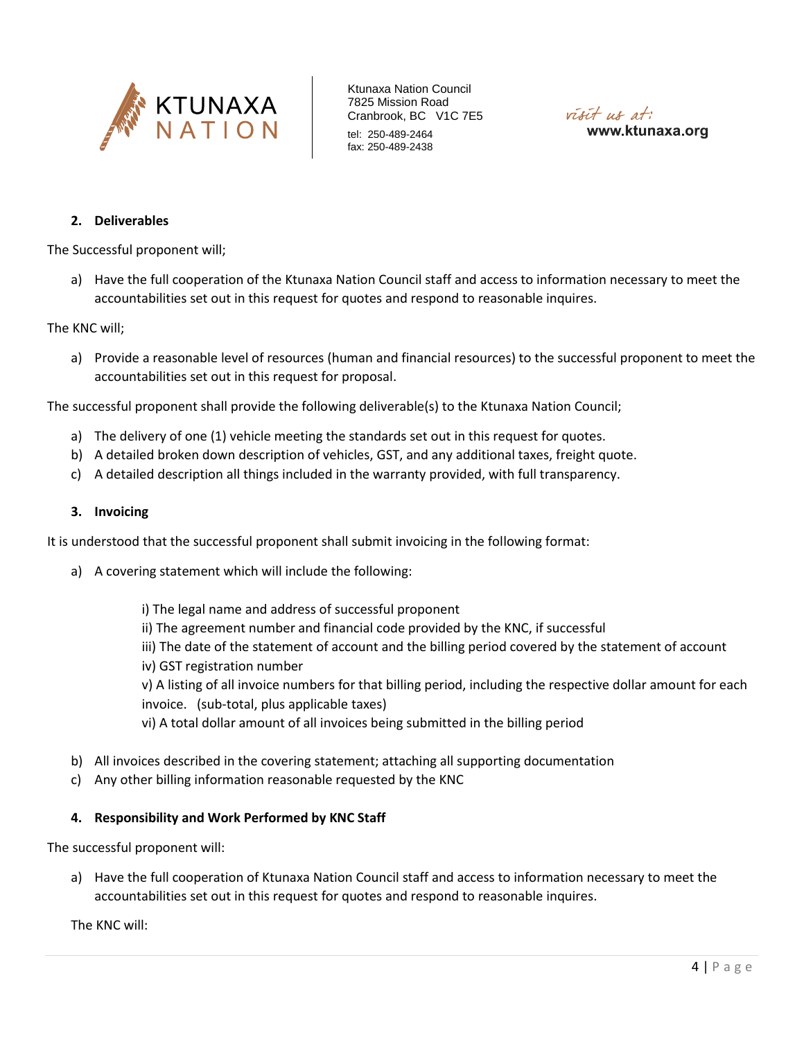



### **2. Deliverables**

The Successful proponent will;

a) Have the full cooperation of the Ktunaxa Nation Council staff and access to information necessary to meet the accountabilities set out in this request for quotes and respond to reasonable inquires.

#### The KNC will;

a) Provide a reasonable level of resources (human and financial resources) to the successful proponent to meet the accountabilities set out in this request for proposal.

The successful proponent shall provide the following deliverable(s) to the Ktunaxa Nation Council;

- a) The delivery of one (1) vehicle meeting the standards set out in this request for quotes.
- b) A detailed broken down description of vehicles, GST, and any additional taxes, freight quote.
- c) A detailed description all things included in the warranty provided, with full transparency.

### **3. Invoicing**

It is understood that the successful proponent shall submit invoicing in the following format:

- a) A covering statement which will include the following:
	- i) The legal name and address of successful proponent
	- ii) The agreement number and financial code provided by the KNC, if successful
	- iii) The date of the statement of account and the billing period covered by the statement of account
	- iv) GST registration number

v) A listing of all invoice numbers for that billing period, including the respective dollar amount for each invoice. (sub-total, plus applicable taxes)

vi) A total dollar amount of all invoices being submitted in the billing period

- b) All invoices described in the covering statement; attaching all supporting documentation
- c) Any other billing information reasonable requested by the KNC

### **4. Responsibility and Work Performed by KNC Staff**

The successful proponent will:

a) Have the full cooperation of Ktunaxa Nation Council staff and access to information necessary to meet the accountabilities set out in this request for quotes and respond to reasonable inquires.

The KNC will: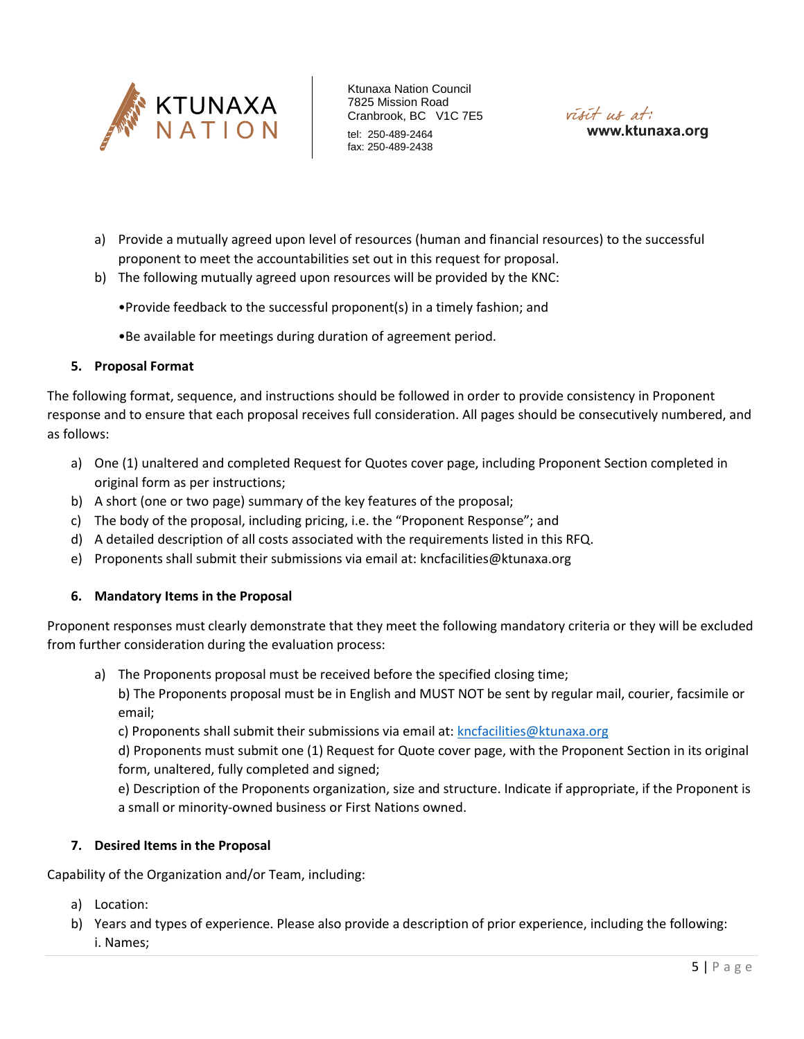



- a) Provide a mutually agreed upon level of resources (human and financial resources) to the successful proponent to meet the accountabilities set out in this request for proposal.
- b) The following mutually agreed upon resources will be provided by the KNC:
	- •Provide feedback to the successful proponent(s) in a timely fashion; and
	- •Be available for meetings during duration of agreement period.

### **5. Proposal Format**

The following format, sequence, and instructions should be followed in order to provide consistency in Proponent response and to ensure that each proposal receives full consideration. All pages should be consecutively numbered, and as follows:

- a) One (1) unaltered and completed Request for Quotes cover page, including Proponent Section completed in original form as per instructions;
- b) A short (one or two page) summary of the key features of the proposal;
- c) The body of the proposal, including pricing, i.e. the "Proponent Response"; and
- d) A detailed description of all costs associated with the requirements listed in this RFQ.
- e) Proponents shall submit their submissions via email at: kncfacilities@ktunaxa.org

### **6. Mandatory Items in the Proposal**

Proponent responses must clearly demonstrate that they meet the following mandatory criteria or they will be excluded from further consideration during the evaluation process:

a) The Proponents proposal must be received before the specified closing time;

b) The Proponents proposal must be in English and MUST NOT be sent by regular mail, courier, facsimile or email;

c) Proponents shall submit their submissions via email at: [kncfacilities@ktunaxa.org](mailto:kncfacilities@ktunaxa.org)

d) Proponents must submit one (1) Request for Quote cover page, with the Proponent Section in its original form, unaltered, fully completed and signed;

e) Description of the Proponents organization, size and structure. Indicate if appropriate, if the Proponent is a small or minority-owned business or First Nations owned.

## **7. Desired Items in the Proposal**

Capability of the Organization and/or Team, including:

- a) Location:
- b) Years and types of experience. Please also provide a description of prior experience, including the following: i. Names;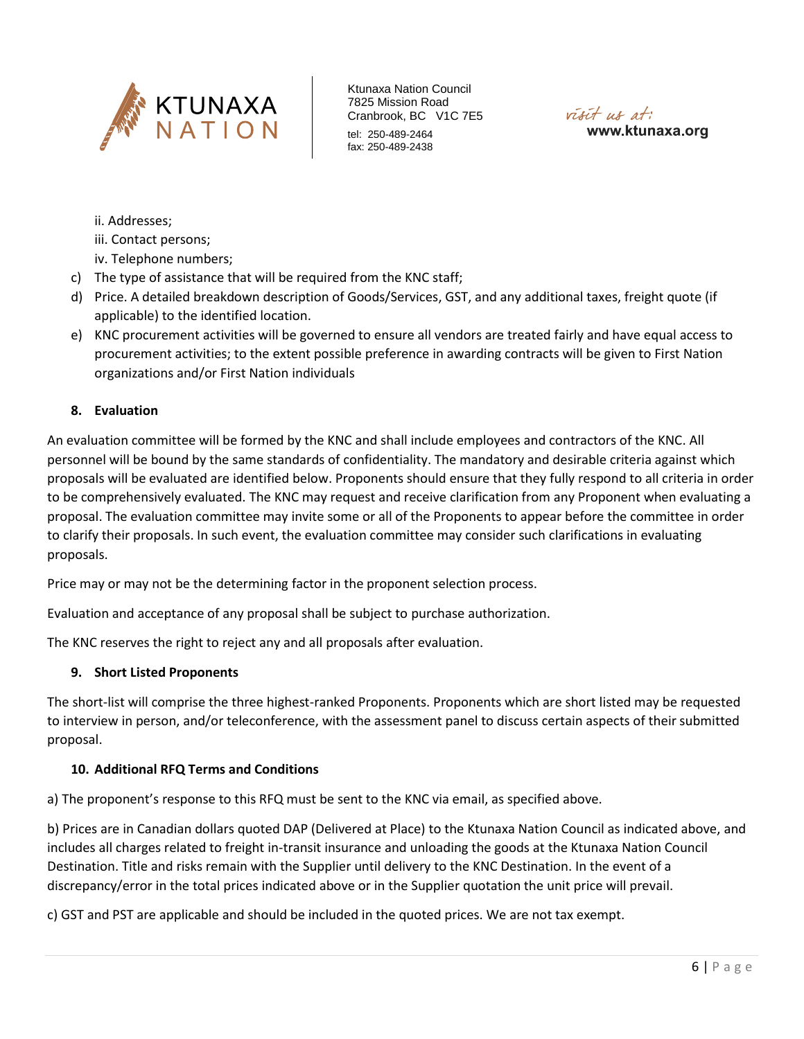



ii. Addresses;

- iii. Contact persons;
- iv. Telephone numbers;
- c) The type of assistance that will be required from the KNC staff;
- d) Price. A detailed breakdown description of Goods/Services, GST, and any additional taxes, freight quote (if applicable) to the identified location.
- e) KNC procurement activities will be governed to ensure all vendors are treated fairly and have equal access to procurement activities; to the extent possible preference in awarding contracts will be given to First Nation organizations and/or First Nation individuals

### **8. Evaluation**

An evaluation committee will be formed by the KNC and shall include employees and contractors of the KNC. All personnel will be bound by the same standards of confidentiality. The mandatory and desirable criteria against which proposals will be evaluated are identified below. Proponents should ensure that they fully respond to all criteria in order to be comprehensively evaluated. The KNC may request and receive clarification from any Proponent when evaluating a proposal. The evaluation committee may invite some or all of the Proponents to appear before the committee in order to clarify their proposals. In such event, the evaluation committee may consider such clarifications in evaluating proposals.

Price may or may not be the determining factor in the proponent selection process.

Evaluation and acceptance of any proposal shall be subject to purchase authorization.

The KNC reserves the right to reject any and all proposals after evaluation.

#### **9. Short Listed Proponents**

The short-list will comprise the three highest-ranked Proponents. Proponents which are short listed may be requested to interview in person, and/or teleconference, with the assessment panel to discuss certain aspects of their submitted proposal.

#### **10. Additional RFQ Terms and Conditions**

a) The proponent's response to this RFQ must be sent to the KNC via email, as specified above.

b) Prices are in Canadian dollars quoted DAP (Delivered at Place) to the Ktunaxa Nation Council as indicated above, and includes all charges related to freight in-transit insurance and unloading the goods at the Ktunaxa Nation Council Destination. Title and risks remain with the Supplier until delivery to the KNC Destination. In the event of a discrepancy/error in the total prices indicated above or in the Supplier quotation the unit price will prevail.

c) GST and PST are applicable and should be included in the quoted prices. We are not tax exempt.